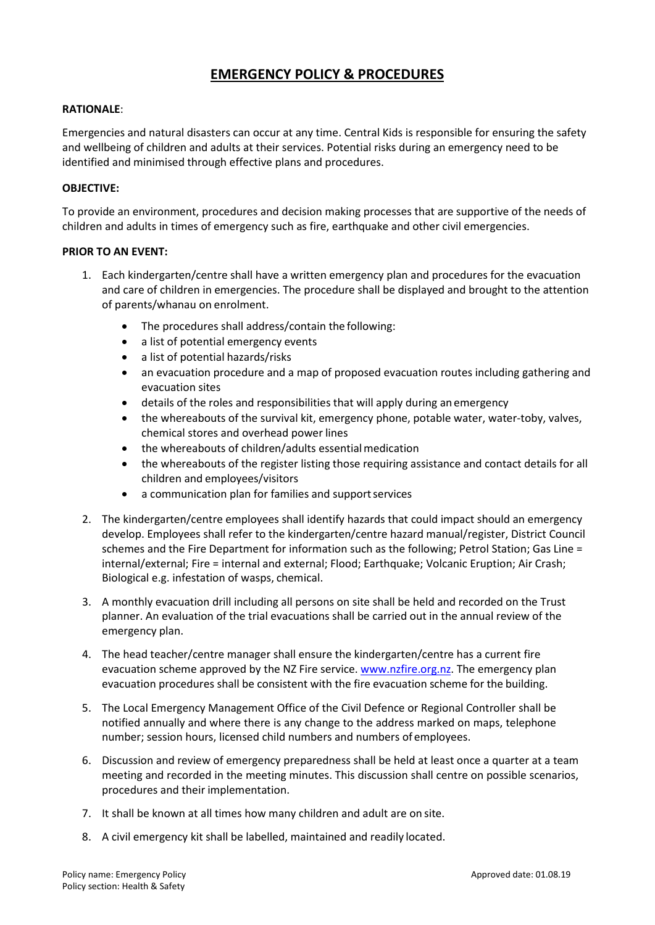# **EMERGENCY POLICY & PROCEDURES**

# **RATIONALE**:

Emergencies and natural disasters can occur at any time. Central Kids is responsible for ensuring the safety and wellbeing of children and adults at their services. Potential risks during an emergency need to be identified and minimised through effective plans and procedures.

# **OBJECTIVE:**

To provide an environment, procedures and decision making processes that are supportive of the needs of children and adults in times of emergency such as fire, earthquake and other civil emergencies.

### **PRIOR TO AN EVENT:**

- 1. Each kindergarten/centre shall have a written emergency plan and procedures for the evacuation and care of children in emergencies. The procedure shall be displayed and brought to the attention of parents/whanau on enrolment.
	- The procedures shall address/contain the following:
	- a list of potential emergency events
	- a list of potential hazards/risks
	- an evacuation procedure and a map of proposed evacuation routes including gathering and evacuation sites
	- details of the roles and responsibilities that will apply during an emergency
	- the whereabouts of the survival kit, emergency phone, potable water, water-toby, valves, chemical stores and overhead power lines
	- the whereabouts of children/adults essential medication
	- the whereabouts of the register listing those requiring assistance and contact details for all children and employees/visitors
	- a communication plan for families and supportservices
- 2. The kindergarten/centre employees shall identify hazards that could impact should an emergency develop. Employees shall refer to the kindergarten/centre hazard manual/register, District Council schemes and the Fire Department for information such as the following; Petrol Station; Gas Line = internal/external; Fire = internal and external; Flood; Earthquake; Volcanic Eruption; Air Crash; Biological e.g. infestation of wasps, chemical.
- 3. A monthly evacuation drill including all persons on site shall be held and recorded on the Trust planner. An evaluation of the trial evacuations shall be carried out in the annual review of the emergency plan.
- 4. The head teacher/centre manager shall ensure the kindergarten/centre has a current fire evacuation scheme approved by the NZ Fire service[. www.nzfire.org.nz.](http://www.nzfire.org.nz/) The emergency plan evacuation procedures shall be consistent with the fire evacuation scheme for the building.
- 5. The Local Emergency Management Office of the Civil Defence or Regional Controller shall be notified annually and where there is any change to the address marked on maps, telephone number; session hours, licensed child numbers and numbers of employees.
- 6. Discussion and review of emergency preparedness shall be held at least once a quarter at a team meeting and recorded in the meeting minutes. This discussion shall centre on possible scenarios, procedures and their implementation.
- 7. It shall be known at all times how many children and adult are on site.
- 8. A civil emergency kit shall be labelled, maintained and readily located.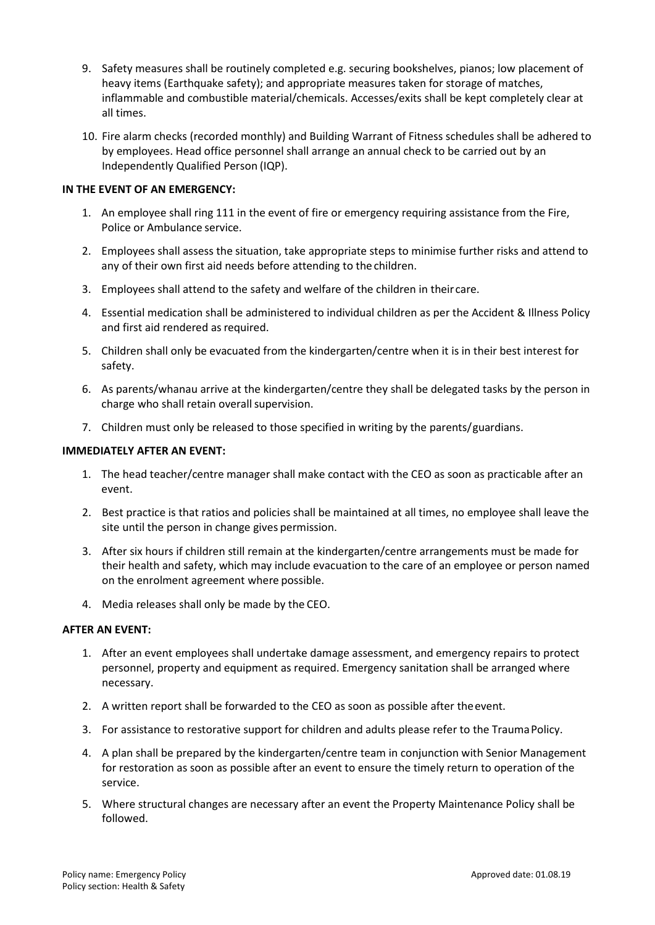- 9. Safety measures shall be routinely completed e.g. securing bookshelves, pianos; low placement of heavy items (Earthquake safety); and appropriate measures taken for storage of matches, inflammable and combustible material/chemicals. Accesses/exits shall be kept completely clear at all times.
- 10. Fire alarm checks (recorded monthly) and Building Warrant of Fitness schedules shall be adhered to by employees. Head office personnel shall arrange an annual check to be carried out by an Independently Qualified Person (IQP).

# **IN THE EVENT OF AN EMERGENCY:**

- 1. An employee shall ring 111 in the event of fire or emergency requiring assistance from the Fire, Police or Ambulance service.
- 2. Employees shall assess the situation, take appropriate steps to minimise further risks and attend to any of their own first aid needs before attending to the children.
- 3. Employees shall attend to the safety and welfare of the children in theircare.
- 4. Essential medication shall be administered to individual children as per the Accident & Illness Policy and first aid rendered as required.
- 5. Children shall only be evacuated from the kindergarten/centre when it is in their best interest for safety.
- 6. As parents/whanau arrive at the kindergarten/centre they shall be delegated tasks by the person in charge who shall retain overall supervision.
- 7. Children must only be released to those specified in writing by the parents/guardians.

### **IMMEDIATELY AFTER AN EVENT:**

- 1. The head teacher/centre manager shall make contact with the CEO as soon as practicable after an event.
- 2. Best practice is that ratios and policies shall be maintained at all times, no employee shall leave the site until the person in change gives permission.
- 3. After six hours if children still remain at the kindergarten/centre arrangements must be made for their health and safety, which may include evacuation to the care of an employee or person named on the enrolment agreement where possible.
- 4. Media releases shall only be made by the CEO.

### **AFTER AN EVENT:**

- 1. After an event employees shall undertake damage assessment, and emergency repairs to protect personnel, property and equipment as required. Emergency sanitation shall be arranged where necessary.
- 2. A written report shall be forwarded to the CEO as soon as possible after theevent.
- 3. For assistance to restorative support for children and adults please refer to the Trauma Policy.
- 4. A plan shall be prepared by the kindergarten/centre team in conjunction with Senior Management for restoration as soon as possible after an event to ensure the timely return to operation of the service.
- 5. Where structural changes are necessary after an event the Property Maintenance Policy shall be followed.